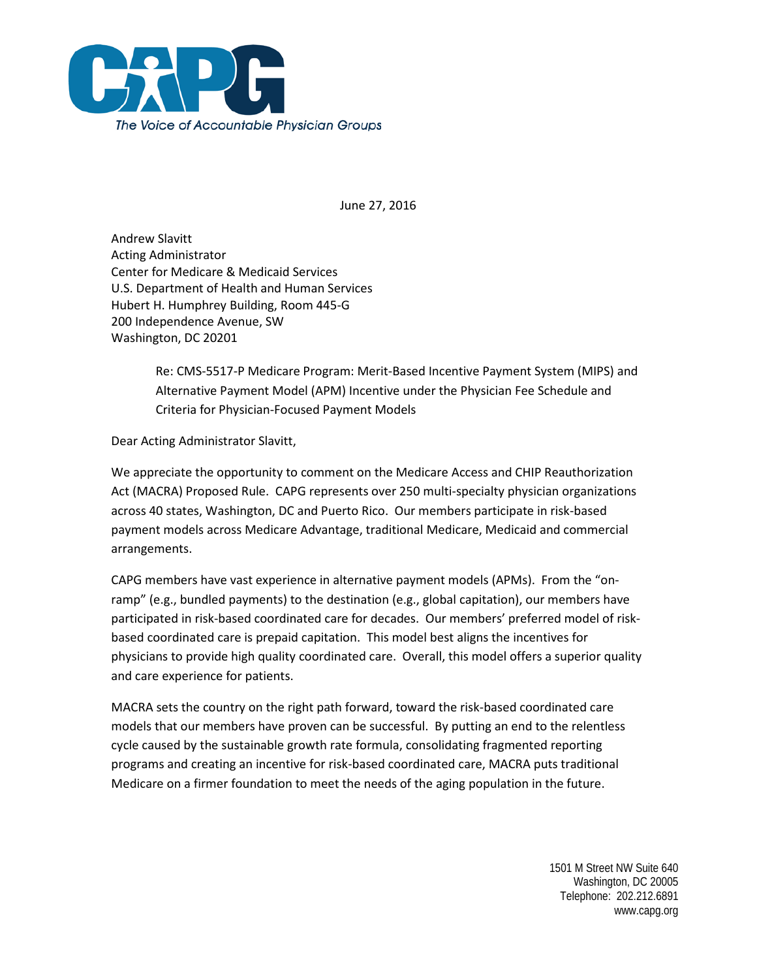

June 27, 2016

Andrew Slavitt Acting Administrator Center for Medicare & Medicaid Services U.S. Department of Health and Human Services Hubert H. Humphrey Building, Room 445-G 200 Independence Avenue, SW Washington, DC 20201

> Re: CMS-5517-P Medicare Program: Merit-Based Incentive Payment System (MIPS) and Alternative Payment Model (APM) Incentive under the Physician Fee Schedule and Criteria for Physician-Focused Payment Models

Dear Acting Administrator Slavitt,

We appreciate the opportunity to comment on the Medicare Access and CHIP Reauthorization Act (MACRA) Proposed Rule. CAPG represents over 250 multi-specialty physician organizations across 40 states, Washington, DC and Puerto Rico. Our members participate in risk-based payment models across Medicare Advantage, traditional Medicare, Medicaid and commercial arrangements.

CAPG members have vast experience in alternative payment models (APMs). From the "onramp" (e.g., bundled payments) to the destination (e.g., global capitation), our members have participated in risk-based coordinated care for decades. Our members' preferred model of riskbased coordinated care is prepaid capitation. This model best aligns the incentives for physicians to provide high quality coordinated care. Overall, this model offers a superior quality and care experience for patients.

MACRA sets the country on the right path forward, toward the risk-based coordinated care models that our members have proven can be successful. By putting an end to the relentless cycle caused by the sustainable growth rate formula, consolidating fragmented reporting programs and creating an incentive for risk-based coordinated care, MACRA puts traditional Medicare on a firmer foundation to meet the needs of the aging population in the future.

> 1501 M Street NW Suite 640 Washington, DC 20005 Telephone: 202.212.6891 www.capg.org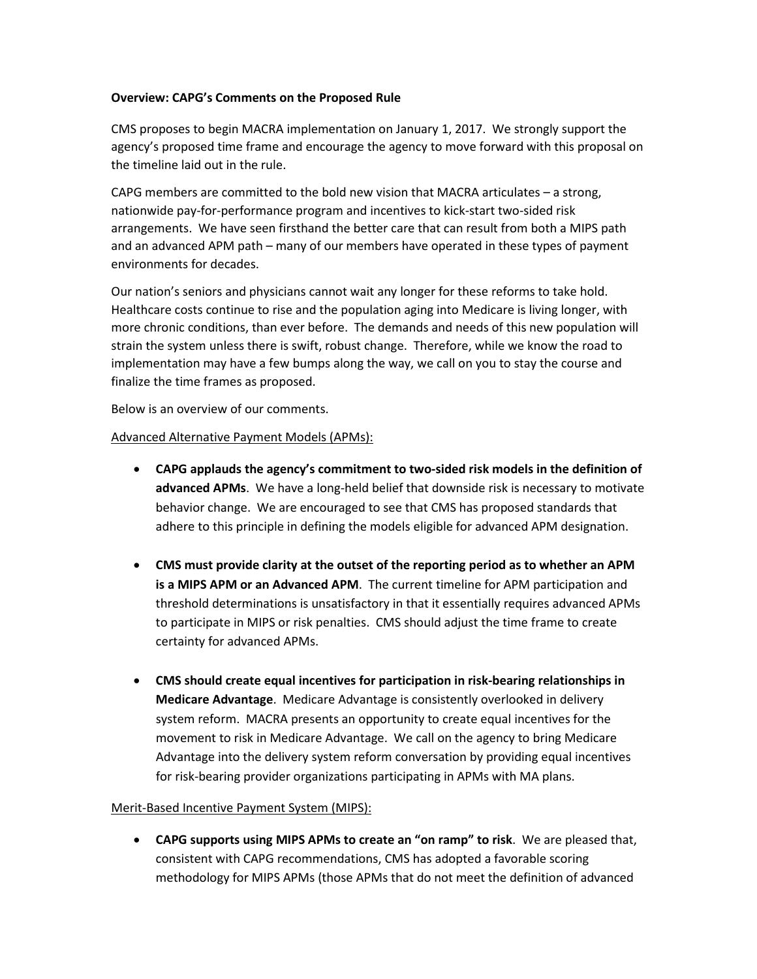#### **Overview: CAPG's Comments on the Proposed Rule**

CMS proposes to begin MACRA implementation on January 1, 2017. We strongly support the agency's proposed time frame and encourage the agency to move forward with this proposal on the timeline laid out in the rule.

CAPG members are committed to the bold new vision that MACRA articulates – a strong, nationwide pay-for-performance program and incentives to kick-start two-sided risk arrangements. We have seen firsthand the better care that can result from both a MIPS path and an advanced APM path – many of our members have operated in these types of payment environments for decades.

Our nation's seniors and physicians cannot wait any longer for these reforms to take hold. Healthcare costs continue to rise and the population aging into Medicare is living longer, with more chronic conditions, than ever before. The demands and needs of this new population will strain the system unless there is swift, robust change. Therefore, while we know the road to implementation may have a few bumps along the way, we call on you to stay the course and finalize the time frames as proposed.

Below is an overview of our comments.

#### Advanced Alternative Payment Models (APMs):

- **CAPG applauds the agency's commitment to two-sided risk models in the definition of advanced APMs**. We have a long-held belief that downside risk is necessary to motivate behavior change. We are encouraged to see that CMS has proposed standards that adhere to this principle in defining the models eligible for advanced APM designation.
- **CMS must provide clarity at the outset of the reporting period as to whether an APM is a MIPS APM or an Advanced APM**. The current timeline for APM participation and threshold determinations is unsatisfactory in that it essentially requires advanced APMs to participate in MIPS or risk penalties. CMS should adjust the time frame to create certainty for advanced APMs.
- **CMS should create equal incentives for participation in risk-bearing relationships in Medicare Advantage**. Medicare Advantage is consistently overlooked in delivery system reform. MACRA presents an opportunity to create equal incentives for the movement to risk in Medicare Advantage. We call on the agency to bring Medicare Advantage into the delivery system reform conversation by providing equal incentives for risk-bearing provider organizations participating in APMs with MA plans.

#### Merit-Based Incentive Payment System (MIPS):

• **CAPG supports using MIPS APMs to create an "on ramp" to risk**. We are pleased that, consistent with CAPG recommendations, CMS has adopted a favorable scoring methodology for MIPS APMs (those APMs that do not meet the definition of advanced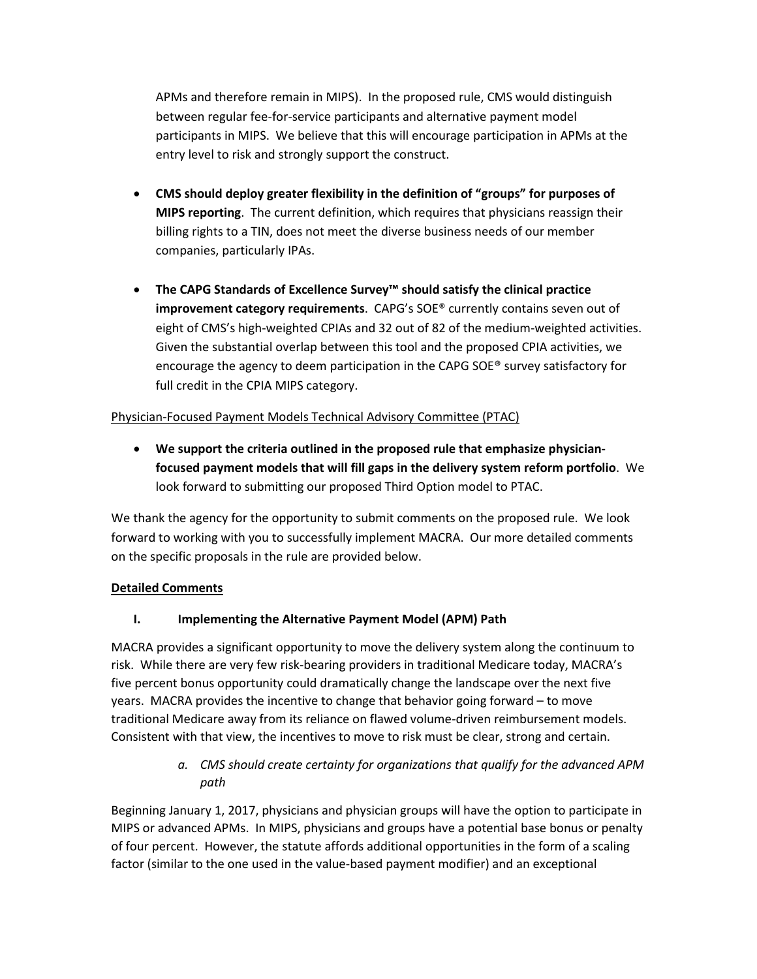APMs and therefore remain in MIPS). In the proposed rule, CMS would distinguish between regular fee-for-service participants and alternative payment model participants in MIPS. We believe that this will encourage participation in APMs at the entry level to risk and strongly support the construct.

- **CMS should deploy greater flexibility in the definition of "groups" for purposes of MIPS reporting**. The current definition, which requires that physicians reassign their billing rights to a TIN, does not meet the diverse business needs of our member companies, particularly IPAs.
- **The CAPG Standards of Excellence Survey™ should satisfy the clinical practice improvement category requirements**. CAPG's SOE® currently contains seven out of eight of CMS's high-weighted CPIAs and 32 out of 82 of the medium-weighted activities. Given the substantial overlap between this tool and the proposed CPIA activities, we encourage the agency to deem participation in the CAPG SOE® survey satisfactory for full credit in the CPIA MIPS category.

### Physician-Focused Payment Models Technical Advisory Committee (PTAC)

• **We support the criteria outlined in the proposed rule that emphasize physicianfocused payment models that will fill gaps in the delivery system reform portfolio**. We look forward to submitting our proposed Third Option model to PTAC.

We thank the agency for the opportunity to submit comments on the proposed rule. We look forward to working with you to successfully implement MACRA. Our more detailed comments on the specific proposals in the rule are provided below.

### **Detailed Comments**

# **I. Implementing the Alternative Payment Model (APM) Path**

MACRA provides a significant opportunity to move the delivery system along the continuum to risk. While there are very few risk-bearing providers in traditional Medicare today, MACRA's five percent bonus opportunity could dramatically change the landscape over the next five years. MACRA provides the incentive to change that behavior going forward – to move traditional Medicare away from its reliance on flawed volume-driven reimbursement models. Consistent with that view, the incentives to move to risk must be clear, strong and certain.

> *a. CMS should create certainty for organizations that qualify for the advanced APM path*

Beginning January 1, 2017, physicians and physician groups will have the option to participate in MIPS or advanced APMs. In MIPS, physicians and groups have a potential base bonus or penalty of four percent. However, the statute affords additional opportunities in the form of a scaling factor (similar to the one used in the value-based payment modifier) and an exceptional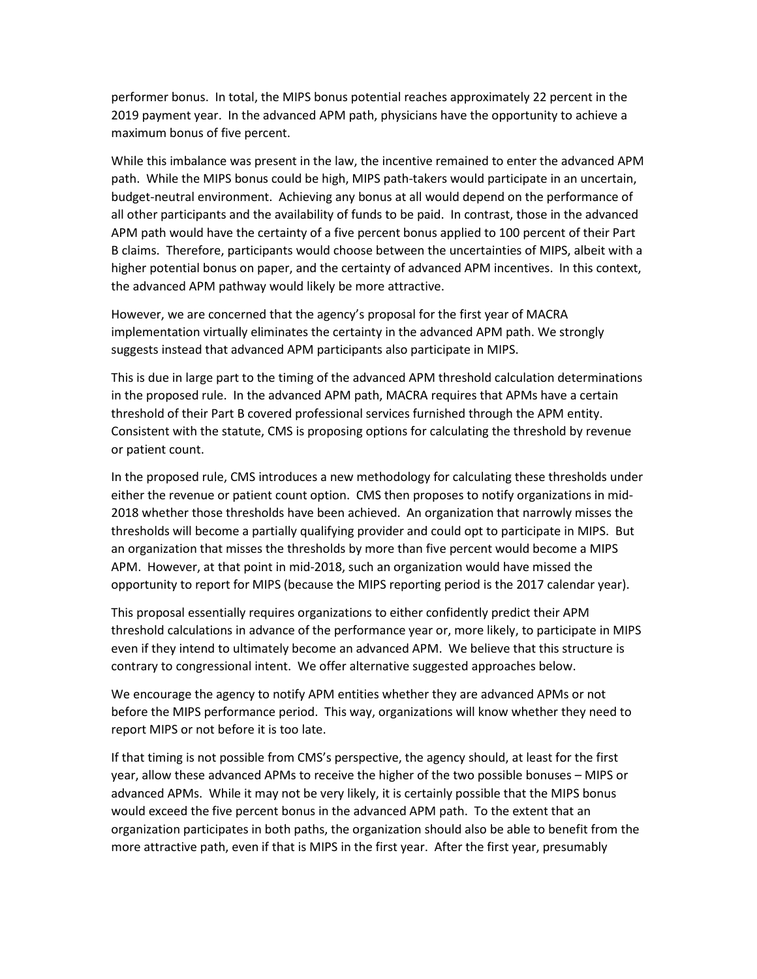performer bonus. In total, the MIPS bonus potential reaches approximately 22 percent in the 2019 payment year. In the advanced APM path, physicians have the opportunity to achieve a maximum bonus of five percent.

While this imbalance was present in the law, the incentive remained to enter the advanced APM path. While the MIPS bonus could be high, MIPS path-takers would participate in an uncertain, budget-neutral environment. Achieving any bonus at all would depend on the performance of all other participants and the availability of funds to be paid. In contrast, those in the advanced APM path would have the certainty of a five percent bonus applied to 100 percent of their Part B claims. Therefore, participants would choose between the uncertainties of MIPS, albeit with a higher potential bonus on paper, and the certainty of advanced APM incentives. In this context, the advanced APM pathway would likely be more attractive.

However, we are concerned that the agency's proposal for the first year of MACRA implementation virtually eliminates the certainty in the advanced APM path. We strongly suggests instead that advanced APM participants also participate in MIPS.

This is due in large part to the timing of the advanced APM threshold calculation determinations in the proposed rule. In the advanced APM path, MACRA requires that APMs have a certain threshold of their Part B covered professional services furnished through the APM entity. Consistent with the statute, CMS is proposing options for calculating the threshold by revenue or patient count.

In the proposed rule, CMS introduces a new methodology for calculating these thresholds under either the revenue or patient count option. CMS then proposes to notify organizations in mid-2018 whether those thresholds have been achieved. An organization that narrowly misses the thresholds will become a partially qualifying provider and could opt to participate in MIPS. But an organization that misses the thresholds by more than five percent would become a MIPS APM. However, at that point in mid-2018, such an organization would have missed the opportunity to report for MIPS (because the MIPS reporting period is the 2017 calendar year).

This proposal essentially requires organizations to either confidently predict their APM threshold calculations in advance of the performance year or, more likely, to participate in MIPS even if they intend to ultimately become an advanced APM. We believe that this structure is contrary to congressional intent. We offer alternative suggested approaches below.

We encourage the agency to notify APM entities whether they are advanced APMs or not before the MIPS performance period. This way, organizations will know whether they need to report MIPS or not before it is too late.

If that timing is not possible from CMS's perspective, the agency should, at least for the first year, allow these advanced APMs to receive the higher of the two possible bonuses – MIPS or advanced APMs. While it may not be very likely, it is certainly possible that the MIPS bonus would exceed the five percent bonus in the advanced APM path. To the extent that an organization participates in both paths, the organization should also be able to benefit from the more attractive path, even if that is MIPS in the first year. After the first year, presumably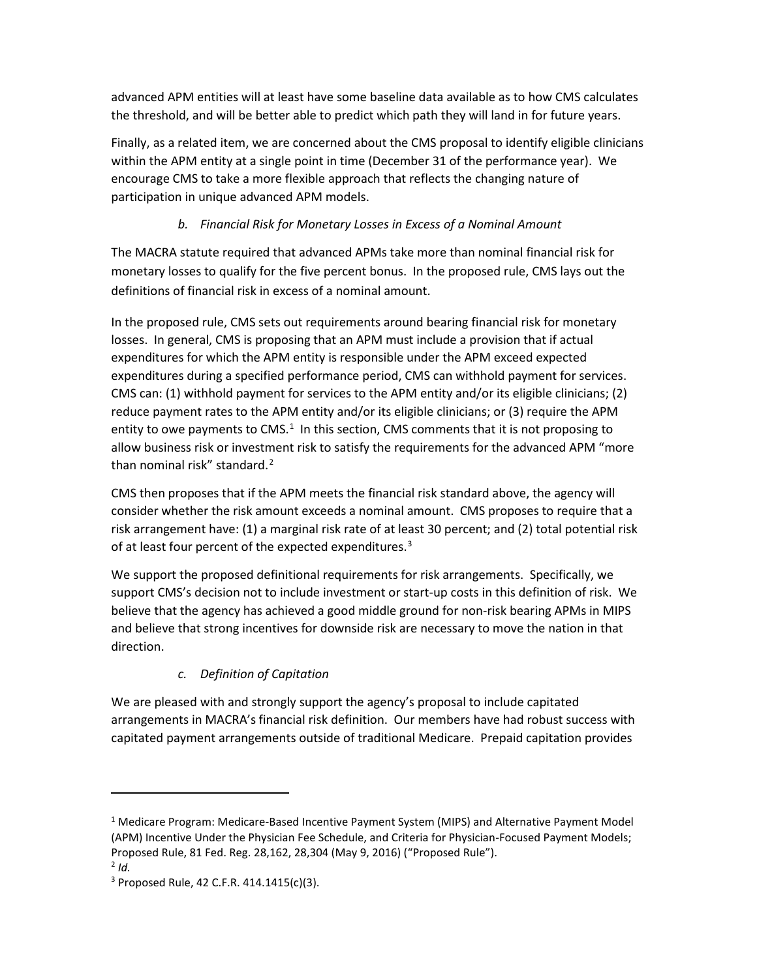advanced APM entities will at least have some baseline data available as to how CMS calculates the threshold, and will be better able to predict which path they will land in for future years.

Finally, as a related item, we are concerned about the CMS proposal to identify eligible clinicians within the APM entity at a single point in time (December 31 of the performance year). We encourage CMS to take a more flexible approach that reflects the changing nature of participation in unique advanced APM models.

# *b. Financial Risk for Monetary Losses in Excess of a Nominal Amount*

The MACRA statute required that advanced APMs take more than nominal financial risk for monetary losses to qualify for the five percent bonus. In the proposed rule, CMS lays out the definitions of financial risk in excess of a nominal amount.

In the proposed rule, CMS sets out requirements around bearing financial risk for monetary losses. In general, CMS is proposing that an APM must include a provision that if actual expenditures for which the APM entity is responsible under the APM exceed expected expenditures during a specified performance period, CMS can withhold payment for services. CMS can: (1) withhold payment for services to the APM entity and/or its eligible clinicians; (2) reduce payment rates to the APM entity and/or its eligible clinicians; or (3) require the APM entity to owe payments to CMS. $<sup>1</sup>$  $<sup>1</sup>$  $<sup>1</sup>$  In this section, CMS comments that it is not proposing to</sup> allow business risk or investment risk to satisfy the requirements for the advanced APM "more than nominal risk" standard.<sup>[2](#page-4-1)</sup>

CMS then proposes that if the APM meets the financial risk standard above, the agency will consider whether the risk amount exceeds a nominal amount. CMS proposes to require that a risk arrangement have: (1) a marginal risk rate of at least 30 percent; and (2) total potential risk of at least four percent of the expected expenditures.<sup>[3](#page-4-2)</sup>

We support the proposed definitional requirements for risk arrangements. Specifically, we support CMS's decision not to include investment or start-up costs in this definition of risk. We believe that the agency has achieved a good middle ground for non-risk bearing APMs in MIPS and believe that strong incentives for downside risk are necessary to move the nation in that direction.

# *c. Definition of Capitation*

We are pleased with and strongly support the agency's proposal to include capitated arrangements in MACRA's financial risk definition. Our members have had robust success with capitated payment arrangements outside of traditional Medicare. Prepaid capitation provides

 $\overline{a}$ 

<span id="page-4-0"></span><sup>&</sup>lt;sup>1</sup> Medicare Program: Medicare-Based Incentive Payment System (MIPS) and Alternative Payment Model (APM) Incentive Under the Physician Fee Schedule, and Criteria for Physician-Focused Payment Models; Proposed Rule, 81 Fed. Reg. 28,162, 28,304 (May 9, 2016) ("Proposed Rule").

<span id="page-4-1"></span> $2$  *Id.* 

<span id="page-4-2"></span> $3$  Proposed Rule, 42 C.F.R. 414.1415(c)(3).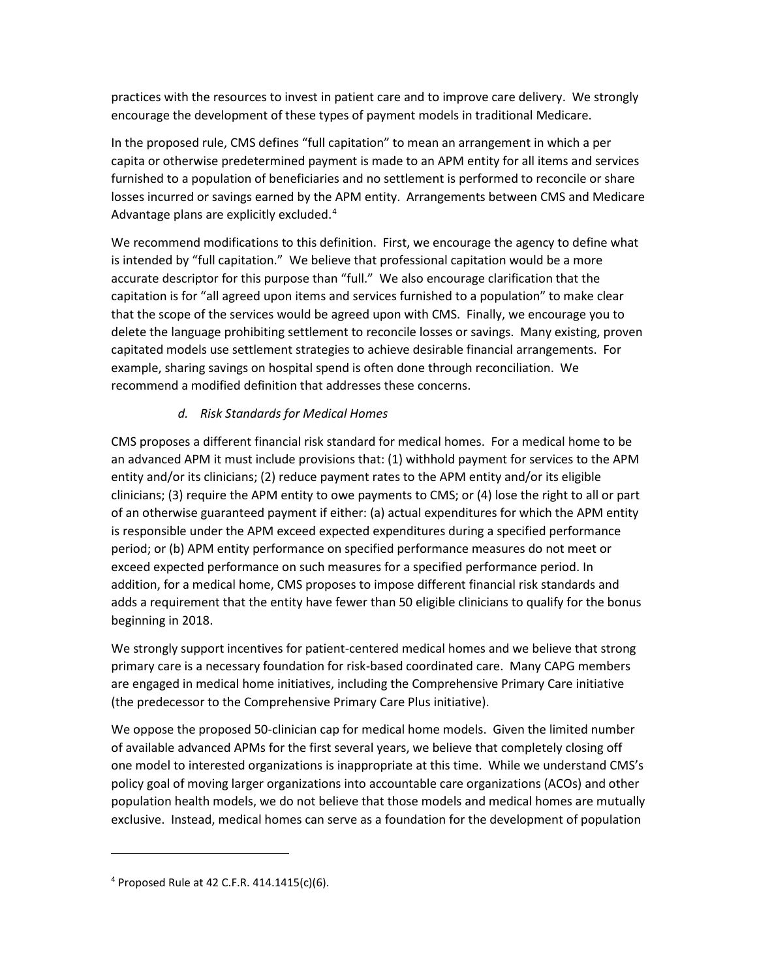practices with the resources to invest in patient care and to improve care delivery. We strongly encourage the development of these types of payment models in traditional Medicare.

In the proposed rule, CMS defines "full capitation" to mean an arrangement in which a per capita or otherwise predetermined payment is made to an APM entity for all items and services furnished to a population of beneficiaries and no settlement is performed to reconcile or share losses incurred or savings earned by the APM entity. Arrangements between CMS and Medicare Advantage plans are explicitly excluded.[4](#page-5-0)

We recommend modifications to this definition. First, we encourage the agency to define what is intended by "full capitation." We believe that professional capitation would be a more accurate descriptor for this purpose than "full." We also encourage clarification that the capitation is for "all agreed upon items and services furnished to a population" to make clear that the scope of the services would be agreed upon with CMS. Finally, we encourage you to delete the language prohibiting settlement to reconcile losses or savings. Many existing, proven capitated models use settlement strategies to achieve desirable financial arrangements. For example, sharing savings on hospital spend is often done through reconciliation. We recommend a modified definition that addresses these concerns.

### *d. Risk Standards for Medical Homes*

CMS proposes a different financial risk standard for medical homes. For a medical home to be an advanced APM it must include provisions that: (1) withhold payment for services to the APM entity and/or its clinicians; (2) reduce payment rates to the APM entity and/or its eligible clinicians; (3) require the APM entity to owe payments to CMS; or (4) lose the right to all or part of an otherwise guaranteed payment if either: (a) actual expenditures for which the APM entity is responsible under the APM exceed expected expenditures during a specified performance period; or (b) APM entity performance on specified performance measures do not meet or exceed expected performance on such measures for a specified performance period. In addition, for a medical home, CMS proposes to impose different financial risk standards and adds a requirement that the entity have fewer than 50 eligible clinicians to qualify for the bonus beginning in 2018.

We strongly support incentives for patient-centered medical homes and we believe that strong primary care is a necessary foundation for risk-based coordinated care. Many CAPG members are engaged in medical home initiatives, including the Comprehensive Primary Care initiative (the predecessor to the Comprehensive Primary Care Plus initiative).

We oppose the proposed 50-clinician cap for medical home models. Given the limited number of available advanced APMs for the first several years, we believe that completely closing off one model to interested organizations is inappropriate at this time. While we understand CMS's policy goal of moving larger organizations into accountable care organizations (ACOs) and other population health models, we do not believe that those models and medical homes are mutually exclusive. Instead, medical homes can serve as a foundation for the development of population

<span id="page-5-0"></span><sup>&</sup>lt;sup>4</sup> Proposed Rule at 42 C.F.R. 414.1415(c)(6).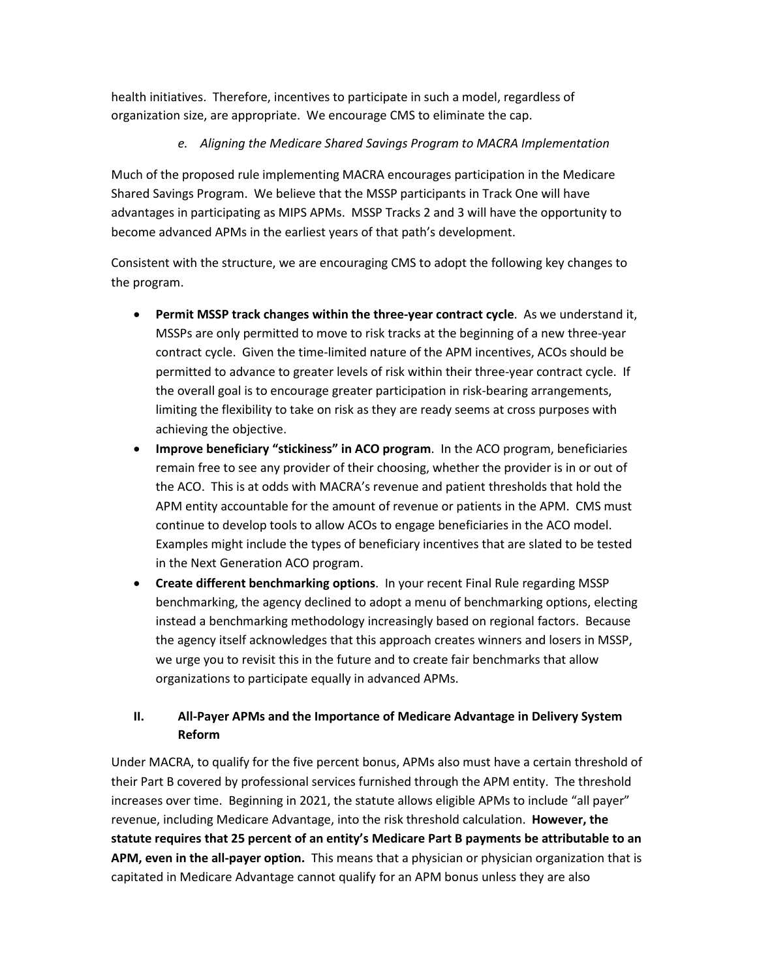health initiatives. Therefore, incentives to participate in such a model, regardless of organization size, are appropriate. We encourage CMS to eliminate the cap.

### *e. Aligning the Medicare Shared Savings Program to MACRA Implementation*

Much of the proposed rule implementing MACRA encourages participation in the Medicare Shared Savings Program. We believe that the MSSP participants in Track One will have advantages in participating as MIPS APMs. MSSP Tracks 2 and 3 will have the opportunity to become advanced APMs in the earliest years of that path's development.

Consistent with the structure, we are encouraging CMS to adopt the following key changes to the program.

- **Permit MSSP track changes within the three-year contract cycle**. As we understand it, MSSPs are only permitted to move to risk tracks at the beginning of a new three-year contract cycle. Given the time-limited nature of the APM incentives, ACOs should be permitted to advance to greater levels of risk within their three-year contract cycle. If the overall goal is to encourage greater participation in risk-bearing arrangements, limiting the flexibility to take on risk as they are ready seems at cross purposes with achieving the objective.
- **Improve beneficiary "stickiness" in ACO program**. In the ACO program, beneficiaries remain free to see any provider of their choosing, whether the provider is in or out of the ACO. This is at odds with MACRA's revenue and patient thresholds that hold the APM entity accountable for the amount of revenue or patients in the APM. CMS must continue to develop tools to allow ACOs to engage beneficiaries in the ACO model. Examples might include the types of beneficiary incentives that are slated to be tested in the Next Generation ACO program.
- **Create different benchmarking options**. In your recent Final Rule regarding MSSP benchmarking, the agency declined to adopt a menu of benchmarking options, electing instead a benchmarking methodology increasingly based on regional factors. Because the agency itself acknowledges that this approach creates winners and losers in MSSP, we urge you to revisit this in the future and to create fair benchmarks that allow organizations to participate equally in advanced APMs.

## **II. All-Payer APMs and the Importance of Medicare Advantage in Delivery System Reform**

Under MACRA, to qualify for the five percent bonus, APMs also must have a certain threshold of their Part B covered by professional services furnished through the APM entity. The threshold increases over time. Beginning in 2021, the statute allows eligible APMs to include "all payer" revenue, including Medicare Advantage, into the risk threshold calculation. **However, the statute requires that 25 percent of an entity's Medicare Part B payments be attributable to an APM, even in the all-payer option.** This means that a physician or physician organization that is capitated in Medicare Advantage cannot qualify for an APM bonus unless they are also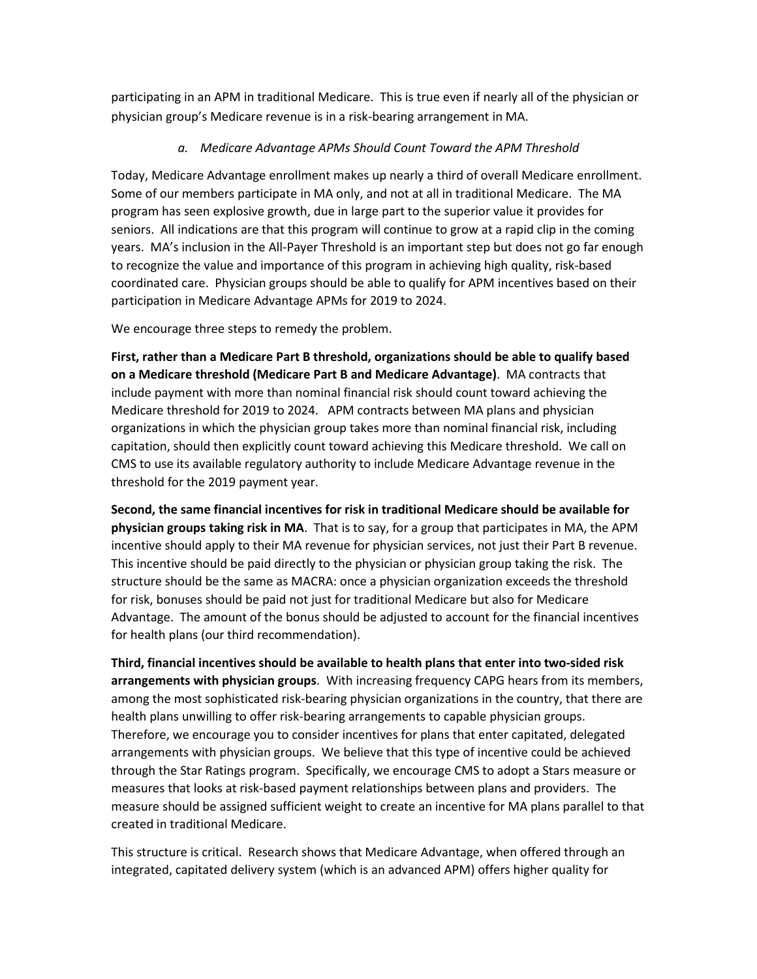participating in an APM in traditional Medicare. This is true even if nearly all of the physician or physician group's Medicare revenue is in a risk-bearing arrangement in MA.

### *a. Medicare Advantage APMs Should Count Toward the APM Threshold*

Today, Medicare Advantage enrollment makes up nearly a third of overall Medicare enrollment. Some of our members participate in MA only, and not at all in traditional Medicare. The MA program has seen explosive growth, due in large part to the superior value it provides for seniors. All indications are that this program will continue to grow at a rapid clip in the coming years. MA's inclusion in the All-Payer Threshold is an important step but does not go far enough to recognize the value and importance of this program in achieving high quality, risk-based coordinated care. Physician groups should be able to qualify for APM incentives based on their participation in Medicare Advantage APMs for 2019 to 2024.

We encourage three steps to remedy the problem.

**First, rather than a Medicare Part B threshold, organizations should be able to qualify based on a Medicare threshold (Medicare Part B and Medicare Advantage)**. MA contracts that include payment with more than nominal financial risk should count toward achieving the Medicare threshold for 2019 to 2024. APM contracts between MA plans and physician organizations in which the physician group takes more than nominal financial risk, including capitation, should then explicitly count toward achieving this Medicare threshold. We call on CMS to use its available regulatory authority to include Medicare Advantage revenue in the threshold for the 2019 payment year.

**Second, the same financial incentives for risk in traditional Medicare should be available for physician groups taking risk in MA**. That is to say, for a group that participates in MA, the APM incentive should apply to their MA revenue for physician services, not just their Part B revenue. This incentive should be paid directly to the physician or physician group taking the risk. The structure should be the same as MACRA: once a physician organization exceeds the threshold for risk, bonuses should be paid not just for traditional Medicare but also for Medicare Advantage. The amount of the bonus should be adjusted to account for the financial incentives for health plans (our third recommendation).

**Third, financial incentives should be available to health plans that enter into two-sided risk arrangements with physician groups**. With increasing frequency CAPG hears from its members, among the most sophisticated risk-bearing physician organizations in the country, that there are health plans unwilling to offer risk-bearing arrangements to capable physician groups. Therefore, we encourage you to consider incentives for plans that enter capitated, delegated arrangements with physician groups. We believe that this type of incentive could be achieved through the Star Ratings program. Specifically, we encourage CMS to adopt a Stars measure or measures that looks at risk-based payment relationships between plans and providers. The measure should be assigned sufficient weight to create an incentive for MA plans parallel to that created in traditional Medicare.

This structure is critical. Research shows that Medicare Advantage, when offered through an integrated, capitated delivery system (which is an advanced APM) offers higher quality for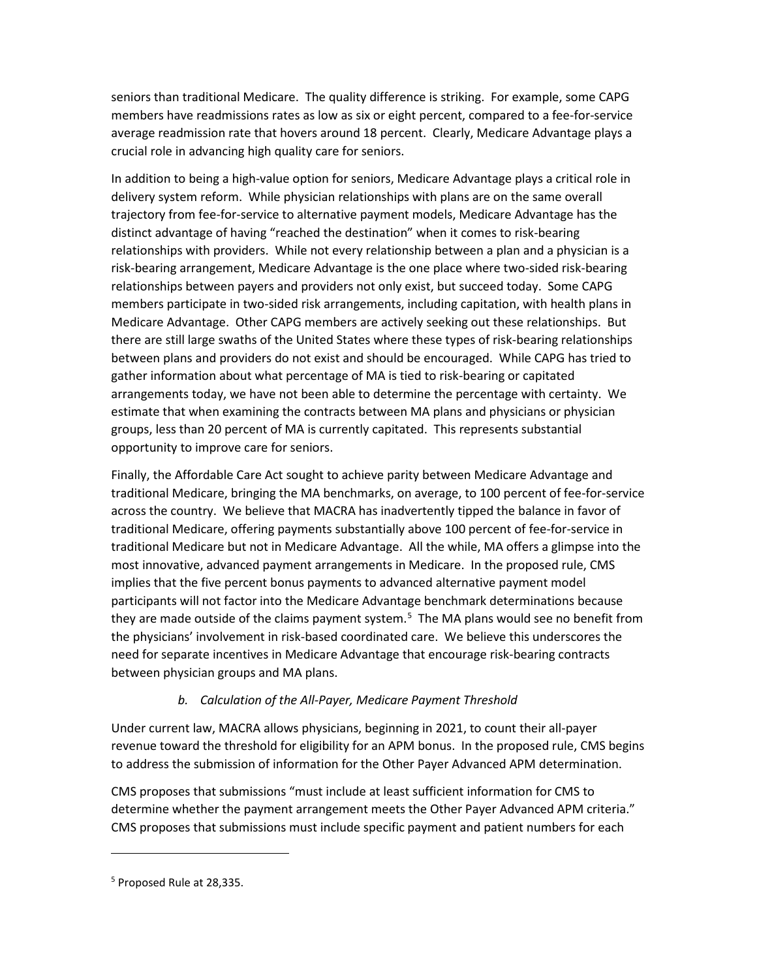seniors than traditional Medicare. The quality difference is striking. For example, some CAPG members have readmissions rates as low as six or eight percent, compared to a fee-for-service average readmission rate that hovers around 18 percent. Clearly, Medicare Advantage plays a crucial role in advancing high quality care for seniors.

In addition to being a high-value option for seniors, Medicare Advantage plays a critical role in delivery system reform. While physician relationships with plans are on the same overall trajectory from fee-for-service to alternative payment models, Medicare Advantage has the distinct advantage of having "reached the destination" when it comes to risk-bearing relationships with providers. While not every relationship between a plan and a physician is a risk-bearing arrangement, Medicare Advantage is the one place where two-sided risk-bearing relationships between payers and providers not only exist, but succeed today. Some CAPG members participate in two-sided risk arrangements, including capitation, with health plans in Medicare Advantage. Other CAPG members are actively seeking out these relationships. But there are still large swaths of the United States where these types of risk-bearing relationships between plans and providers do not exist and should be encouraged. While CAPG has tried to gather information about what percentage of MA is tied to risk-bearing or capitated arrangements today, we have not been able to determine the percentage with certainty. We estimate that when examining the contracts between MA plans and physicians or physician groups, less than 20 percent of MA is currently capitated. This represents substantial opportunity to improve care for seniors.

Finally, the Affordable Care Act sought to achieve parity between Medicare Advantage and traditional Medicare, bringing the MA benchmarks, on average, to 100 percent of fee-for-service across the country. We believe that MACRA has inadvertently tipped the balance in favor of traditional Medicare, offering payments substantially above 100 percent of fee-for-service in traditional Medicare but not in Medicare Advantage. All the while, MA offers a glimpse into the most innovative, advanced payment arrangements in Medicare. In the proposed rule, CMS implies that the five percent bonus payments to advanced alternative payment model participants will not factor into the Medicare Advantage benchmark determinations because they are made outside of the claims payment system.<sup>[5](#page-8-0)</sup> The MA plans would see no benefit from the physicians' involvement in risk-based coordinated care. We believe this underscores the need for separate incentives in Medicare Advantage that encourage risk-bearing contracts between physician groups and MA plans.

# *b. Calculation of the All-Payer, Medicare Payment Threshold*

Under current law, MACRA allows physicians, beginning in 2021, to count their all-payer revenue toward the threshold for eligibility for an APM bonus. In the proposed rule, CMS begins to address the submission of information for the Other Payer Advanced APM determination.

CMS proposes that submissions "must include at least sufficient information for CMS to determine whether the payment arrangement meets the Other Payer Advanced APM criteria." CMS proposes that submissions must include specific payment and patient numbers for each

<span id="page-8-0"></span><sup>&</sup>lt;sup>5</sup> Proposed Rule at 28,335.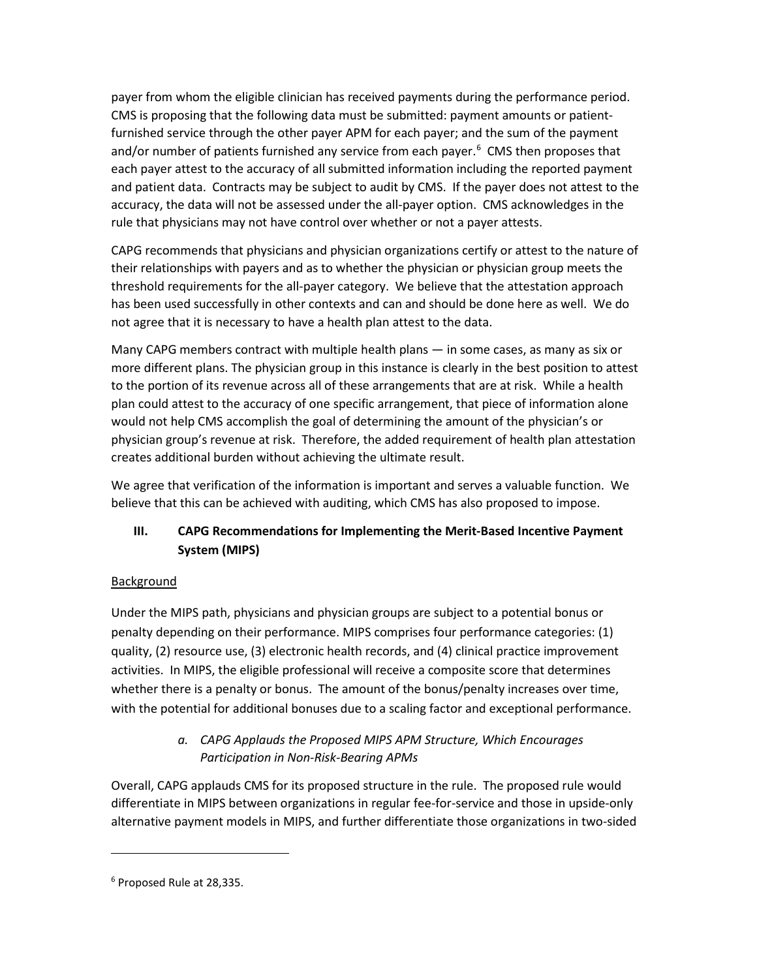payer from whom the eligible clinician has received payments during the performance period. CMS is proposing that the following data must be submitted: payment amounts or patientfurnished service through the other payer APM for each payer; and the sum of the payment and/or number of patients furnished any service from each payer.<sup>[6](#page-9-0)</sup> CMS then proposes that each payer attest to the accuracy of all submitted information including the reported payment and patient data. Contracts may be subject to audit by CMS. If the payer does not attest to the accuracy, the data will not be assessed under the all-payer option. CMS acknowledges in the rule that physicians may not have control over whether or not a payer attests.

CAPG recommends that physicians and physician organizations certify or attest to the nature of their relationships with payers and as to whether the physician or physician group meets the threshold requirements for the all-payer category. We believe that the attestation approach has been used successfully in other contexts and can and should be done here as well. We do not agree that it is necessary to have a health plan attest to the data.

Many CAPG members contract with multiple health plans — in some cases, as many as six or more different plans. The physician group in this instance is clearly in the best position to attest to the portion of its revenue across all of these arrangements that are at risk. While a health plan could attest to the accuracy of one specific arrangement, that piece of information alone would not help CMS accomplish the goal of determining the amount of the physician's or physician group's revenue at risk. Therefore, the added requirement of health plan attestation creates additional burden without achieving the ultimate result.

We agree that verification of the information is important and serves a valuable function. We believe that this can be achieved with auditing, which CMS has also proposed to impose.

# **III. CAPG Recommendations for Implementing the Merit-Based Incentive Payment System (MIPS)**

### **Background**

Under the MIPS path, physicians and physician groups are subject to a potential bonus or penalty depending on their performance. MIPS comprises four performance categories: (1) quality, (2) resource use, (3) electronic health records, and (4) clinical practice improvement activities. In MIPS, the eligible professional will receive a composite score that determines whether there is a penalty or bonus. The amount of the bonus/penalty increases over time, with the potential for additional bonuses due to a scaling factor and exceptional performance.

# *a. CAPG Applauds the Proposed MIPS APM Structure, Which Encourages Participation in Non-Risk-Bearing APMs*

Overall, CAPG applauds CMS for its proposed structure in the rule. The proposed rule would differentiate in MIPS between organizations in regular fee-for-service and those in upside-only alternative payment models in MIPS, and further differentiate those organizations in two-sided

<span id="page-9-0"></span><sup>6</sup> Proposed Rule at 28,335.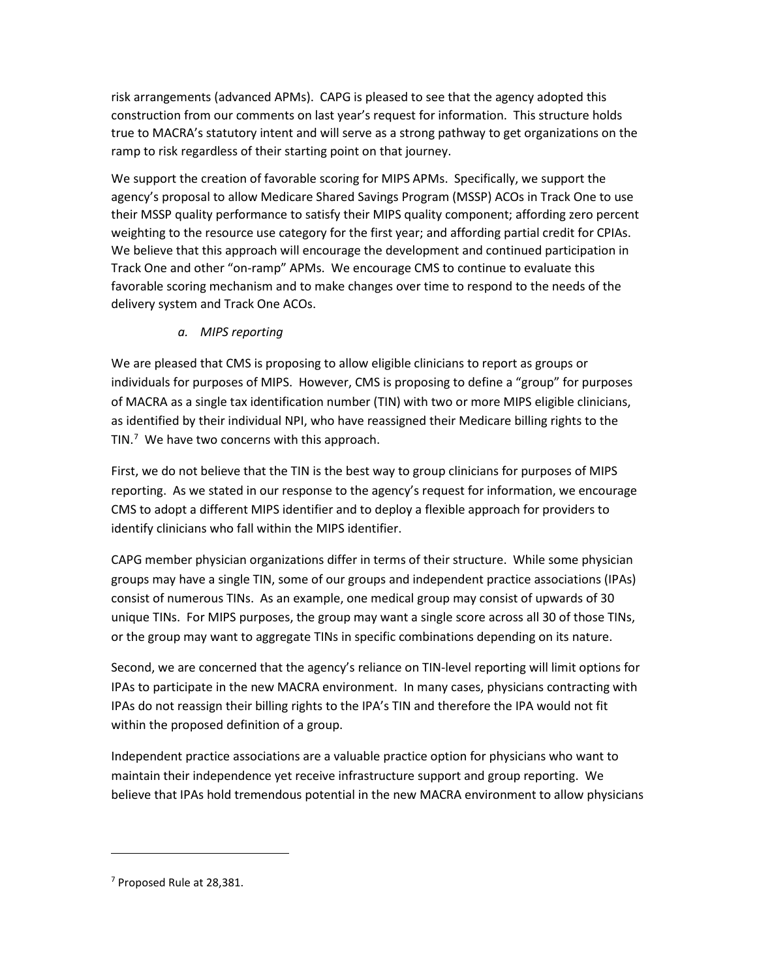risk arrangements (advanced APMs). CAPG is pleased to see that the agency adopted this construction from our comments on last year's request for information. This structure holds true to MACRA's statutory intent and will serve as a strong pathway to get organizations on the ramp to risk regardless of their starting point on that journey.

We support the creation of favorable scoring for MIPS APMs. Specifically, we support the agency's proposal to allow Medicare Shared Savings Program (MSSP) ACOs in Track One to use their MSSP quality performance to satisfy their MIPS quality component; affording zero percent weighting to the resource use category for the first year; and affording partial credit for CPIAs. We believe that this approach will encourage the development and continued participation in Track One and other "on-ramp" APMs. We encourage CMS to continue to evaluate this favorable scoring mechanism and to make changes over time to respond to the needs of the delivery system and Track One ACOs.

## *a. MIPS reporting*

We are pleased that CMS is proposing to allow eligible clinicians to report as groups or individuals for purposes of MIPS. However, CMS is proposing to define a "group" for purposes of MACRA as a single tax identification number (TIN) with two or more MIPS eligible clinicians, as identified by their individual NPI, who have reassigned their Medicare billing rights to the TIN. $7$  We have two concerns with this approach.

First, we do not believe that the TIN is the best way to group clinicians for purposes of MIPS reporting. As we stated in our response to the agency's request for information, we encourage CMS to adopt a different MIPS identifier and to deploy a flexible approach for providers to identify clinicians who fall within the MIPS identifier.

CAPG member physician organizations differ in terms of their structure. While some physician groups may have a single TIN, some of our groups and independent practice associations (IPAs) consist of numerous TINs. As an example, one medical group may consist of upwards of 30 unique TINs. For MIPS purposes, the group may want a single score across all 30 of those TINs, or the group may want to aggregate TINs in specific combinations depending on its nature.

Second, we are concerned that the agency's reliance on TIN-level reporting will limit options for IPAs to participate in the new MACRA environment. In many cases, physicians contracting with IPAs do not reassign their billing rights to the IPA's TIN and therefore the IPA would not fit within the proposed definition of a group.

Independent practice associations are a valuable practice option for physicians who want to maintain their independence yet receive infrastructure support and group reporting. We believe that IPAs hold tremendous potential in the new MACRA environment to allow physicians

<span id="page-10-0"></span><sup>&</sup>lt;sup>7</sup> Proposed Rule at 28,381.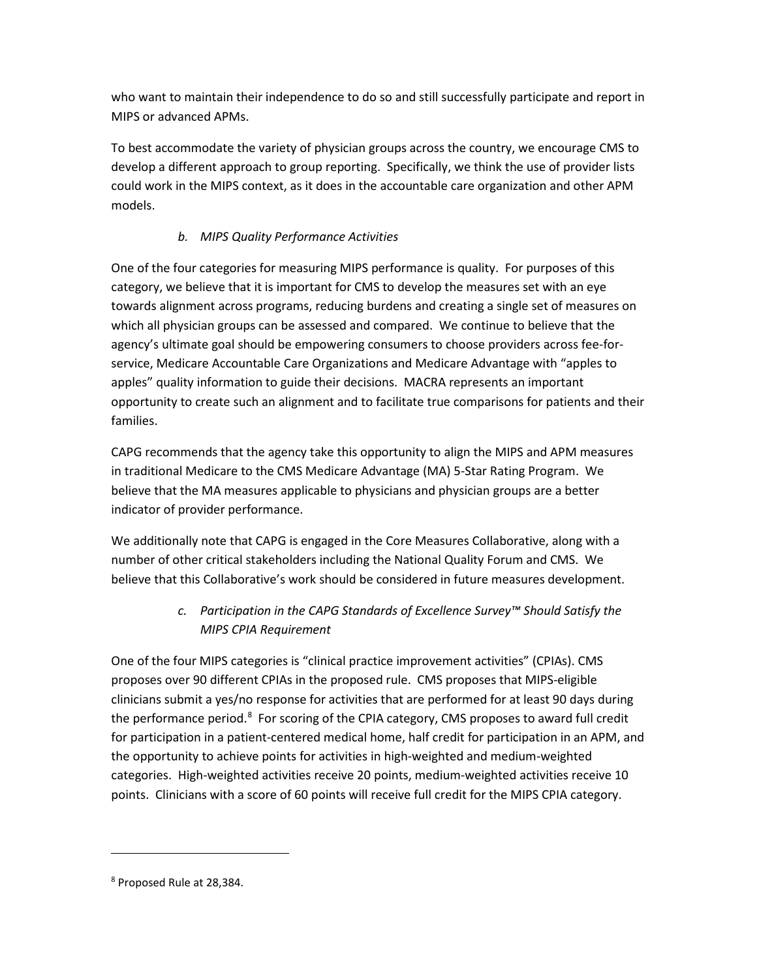who want to maintain their independence to do so and still successfully participate and report in MIPS or advanced APMs.

To best accommodate the variety of physician groups across the country, we encourage CMS to develop a different approach to group reporting. Specifically, we think the use of provider lists could work in the MIPS context, as it does in the accountable care organization and other APM models.

# *b. MIPS Quality Performance Activities*

One of the four categories for measuring MIPS performance is quality. For purposes of this category, we believe that it is important for CMS to develop the measures set with an eye towards alignment across programs, reducing burdens and creating a single set of measures on which all physician groups can be assessed and compared. We continue to believe that the agency's ultimate goal should be empowering consumers to choose providers across fee-forservice, Medicare Accountable Care Organizations and Medicare Advantage with "apples to apples" quality information to guide their decisions. MACRA represents an important opportunity to create such an alignment and to facilitate true comparisons for patients and their families.

CAPG recommends that the agency take this opportunity to align the MIPS and APM measures in traditional Medicare to the CMS Medicare Advantage (MA) 5-Star Rating Program. We believe that the MA measures applicable to physicians and physician groups are a better indicator of provider performance.

We additionally note that CAPG is engaged in the Core Measures Collaborative, along with a number of other critical stakeholders including the National Quality Forum and CMS. We believe that this Collaborative's work should be considered in future measures development.

# *c. Participation in the CAPG Standards of Excellence Survey™ Should Satisfy the MIPS CPIA Requirement*

One of the four MIPS categories is "clinical practice improvement activities" (CPIAs). CMS proposes over 90 different CPIAs in the proposed rule. CMS proposes that MIPS-eligible clinicians submit a yes/no response for activities that are performed for at least 90 days during the performance period.<sup>8</sup> For scoring of the CPIA category, CMS proposes to award full credit for participation in a patient-centered medical home, half credit for participation in an APM, and the opportunity to achieve points for activities in high-weighted and medium-weighted categories. High-weighted activities receive 20 points, medium-weighted activities receive 10 points. Clinicians with a score of 60 points will receive full credit for the MIPS CPIA category.

<span id="page-11-0"></span><sup>8</sup> Proposed Rule at 28,384.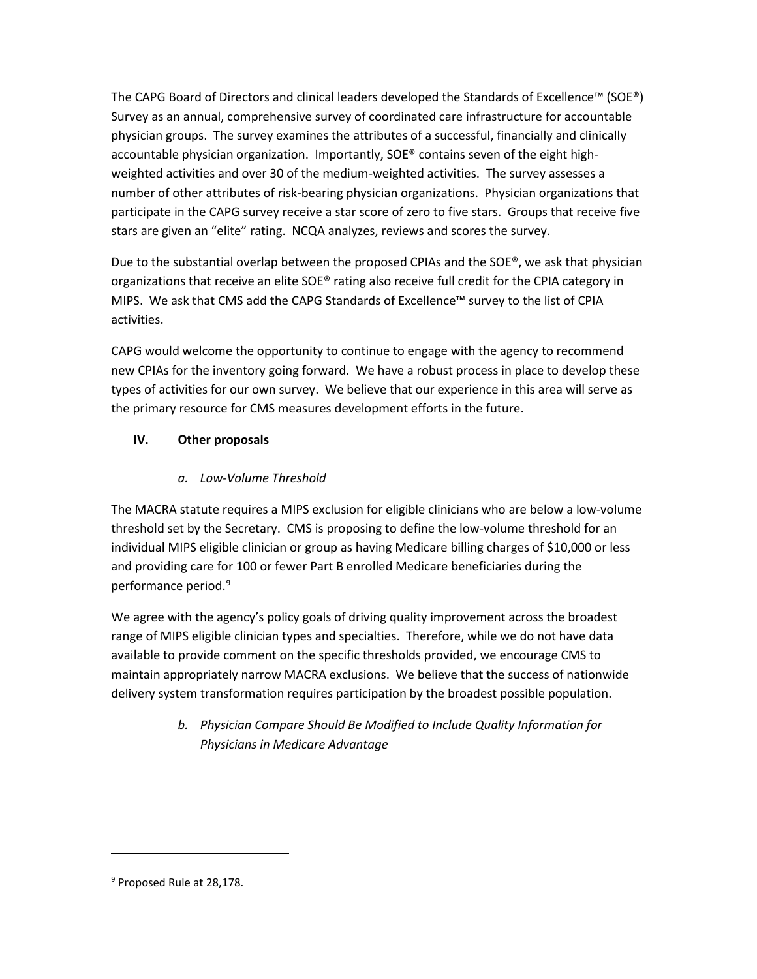The CAPG Board of Directors and clinical leaders developed the Standards of Excellence™ (SOE®) Survey as an annual, comprehensive survey of coordinated care infrastructure for accountable physician groups. The survey examines the attributes of a successful, financially and clinically accountable physician organization. Importantly, SOE® contains seven of the eight highweighted activities and over 30 of the medium-weighted activities. The survey assesses a number of other attributes of risk-bearing physician organizations. Physician organizations that participate in the CAPG survey receive a star score of zero to five stars. Groups that receive five stars are given an "elite" rating. NCQA analyzes, reviews and scores the survey.

Due to the substantial overlap between the proposed CPIAs and the SOE®, we ask that physician organizations that receive an elite SOE® rating also receive full credit for the CPIA category in MIPS. We ask that CMS add the CAPG Standards of Excellence™ survey to the list of CPIA activities.

CAPG would welcome the opportunity to continue to engage with the agency to recommend new CPIAs for the inventory going forward. We have a robust process in place to develop these types of activities for our own survey. We believe that our experience in this area will serve as the primary resource for CMS measures development efforts in the future.

# **IV. Other proposals**

## *a. Low-Volume Threshold*

The MACRA statute requires a MIPS exclusion for eligible clinicians who are below a low-volume threshold set by the Secretary. CMS is proposing to define the low-volume threshold for an individual MIPS eligible clinician or group as having Medicare billing charges of \$10,000 or less and providing care for 100 or fewer Part B enrolled Medicare beneficiaries during the performance period. [9](#page-12-0)

We agree with the agency's policy goals of driving quality improvement across the broadest range of MIPS eligible clinician types and specialties. Therefore, while we do not have data available to provide comment on the specific thresholds provided, we encourage CMS to maintain appropriately narrow MACRA exclusions. We believe that the success of nationwide delivery system transformation requires participation by the broadest possible population.

> *b. Physician Compare Should Be Modified to Include Quality Information for Physicians in Medicare Advantage*

<span id="page-12-0"></span><sup>&</sup>lt;sup>9</sup> Proposed Rule at 28,178.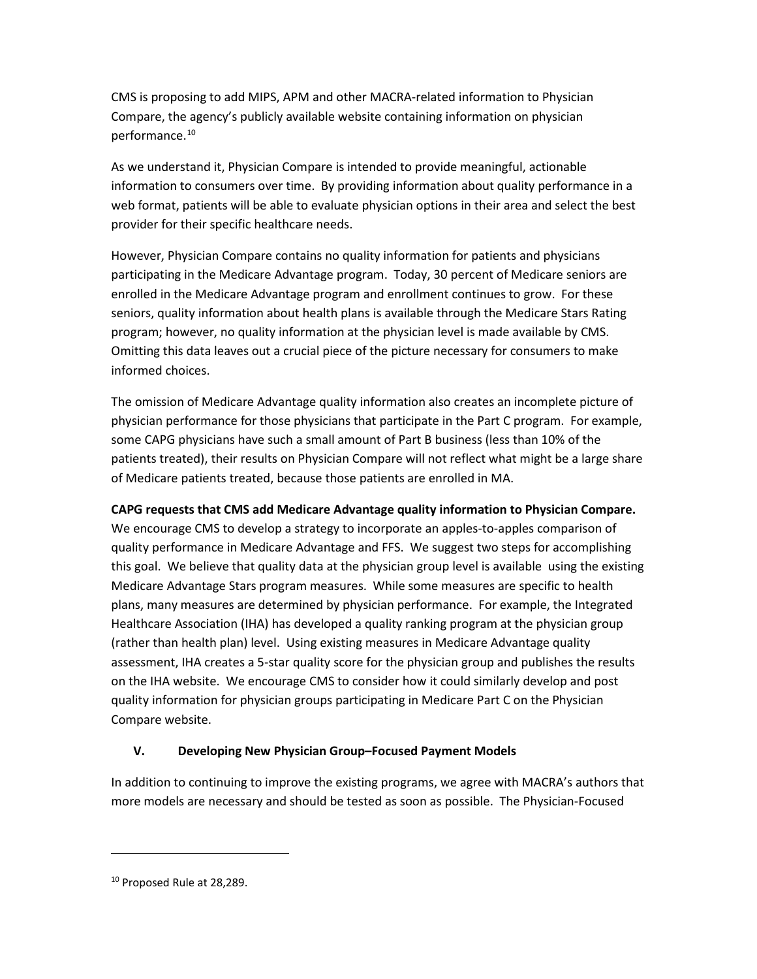CMS is proposing to add MIPS, APM and other MACRA-related information to Physician Compare, the agency's publicly available website containing information on physician performance.<sup>[10](#page-13-0)</sup>

As we understand it, Physician Compare is intended to provide meaningful, actionable information to consumers over time. By providing information about quality performance in a web format, patients will be able to evaluate physician options in their area and select the best provider for their specific healthcare needs.

However, Physician Compare contains no quality information for patients and physicians participating in the Medicare Advantage program. Today, 30 percent of Medicare seniors are enrolled in the Medicare Advantage program and enrollment continues to grow. For these seniors, quality information about health plans is available through the Medicare Stars Rating program; however, no quality information at the physician level is made available by CMS. Omitting this data leaves out a crucial piece of the picture necessary for consumers to make informed choices.

The omission of Medicare Advantage quality information also creates an incomplete picture of physician performance for those physicians that participate in the Part C program. For example, some CAPG physicians have such a small amount of Part B business (less than 10% of the patients treated), their results on Physician Compare will not reflect what might be a large share of Medicare patients treated, because those patients are enrolled in MA.

**CAPG requests that CMS add Medicare Advantage quality information to Physician Compare.** We encourage CMS to develop a strategy to incorporate an apples-to-apples comparison of quality performance in Medicare Advantage and FFS. We suggest two steps for accomplishing this goal. We believe that quality data at the physician group level is available using the existing Medicare Advantage Stars program measures. While some measures are specific to health plans, many measures are determined by physician performance. For example, the Integrated Healthcare Association (IHA) has developed a quality ranking program at the physician group (rather than health plan) level. Using existing measures in Medicare Advantage quality assessment, IHA creates a 5-star quality score for the physician group and publishes the results on the IHA website. We encourage CMS to consider how it could similarly develop and post quality information for physician groups participating in Medicare Part C on the Physician Compare website.

### **V. Developing New Physician Group–Focused Payment Models**

In addition to continuing to improve the existing programs, we agree with MACRA's authors that more models are necessary and should be tested as soon as possible. The Physician-Focused

<span id="page-13-0"></span><sup>&</sup>lt;sup>10</sup> Proposed Rule at 28,289.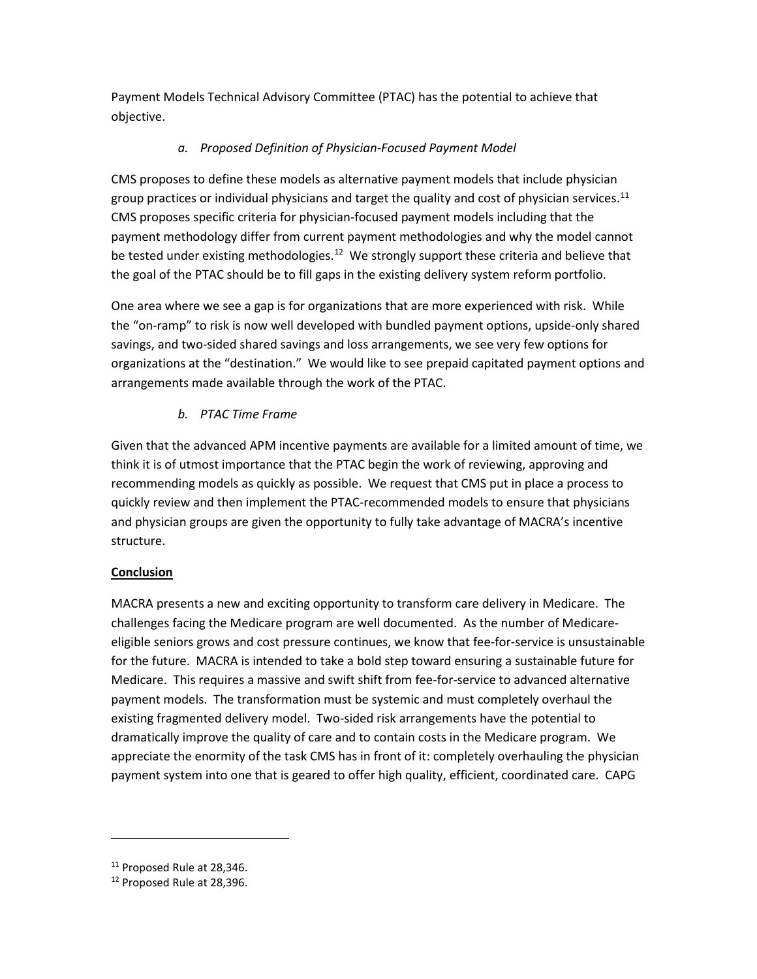Payment Models Technical Advisory Committee (PTAC) has the potential to achieve that objective.

## *a. Proposed Definition of Physician-Focused Payment Model*

CMS proposes to define these models as alternative payment models that include physician group practices or individual physicians and target the quality and cost of physician services.<sup>[11](#page-14-0)</sup> CMS proposes specific criteria for physician-focused payment models including that the payment methodology differ from current payment methodologies and why the model cannot be tested under existing methodologies.<sup>12</sup> We strongly support these criteria and believe that the goal of the PTAC should be to fill gaps in the existing delivery system reform portfolio.

One area where we see a gap is for organizations that are more experienced with risk. While the "on-ramp" to risk is now well developed with bundled payment options, upside-only shared savings, and two-sided shared savings and loss arrangements, we see very few options for organizations at the "destination." We would like to see prepaid capitated payment options and arrangements made available through the work of the PTAC.

## *b. PTAC Time Frame*

Given that the advanced APM incentive payments are available for a limited amount of time, we think it is of utmost importance that the PTAC begin the work of reviewing, approving and recommending models as quickly as possible. We request that CMS put in place a process to quickly review and then implement the PTAC-recommended models to ensure that physicians and physician groups are given the opportunity to fully take advantage of MACRA's incentive structure.

### **Conclusion**

MACRA presents a new and exciting opportunity to transform care delivery in Medicare. The challenges facing the Medicare program are well documented. As the number of Medicareeligible seniors grows and cost pressure continues, we know that fee-for-service is unsustainable for the future. MACRA is intended to take a bold step toward ensuring a sustainable future for Medicare. This requires a massive and swift shift from fee-for-service to advanced alternative payment models. The transformation must be systemic and must completely overhaul the existing fragmented delivery model. Two-sided risk arrangements have the potential to dramatically improve the quality of care and to contain costs in the Medicare program. We appreciate the enormity of the task CMS has in front of it: completely overhauling the physician payment system into one that is geared to offer high quality, efficient, coordinated care. CAPG

 $\overline{a}$ 

<span id="page-14-0"></span><sup>&</sup>lt;sup>11</sup> Proposed Rule at 28,346.

<span id="page-14-1"></span><sup>&</sup>lt;sup>12</sup> Proposed Rule at 28,396.